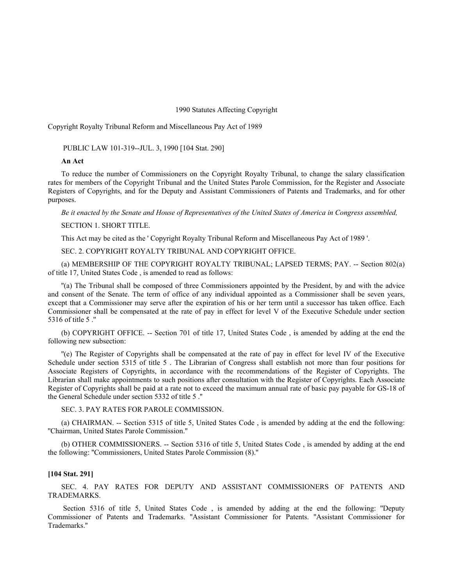1990 Statutes Affecting Copyright

Copyright Royalty Tribunal Reform and Miscellaneous Pay Act of 1989

PUBLIC LAW 101-319--JUL. 3, 1990 [104 Stat. 290]

## **An Act**

To reduce the number of Commissioners on the Copyright Royalty Tribunal, to change the salary classification rates for members of the Copyright Tribunal and the United States Parole Commission, for the Register and Associate Registers of Copyrights, and for the Deputy and Assistant Commissioners of Patents and Trademarks, and for other purposes.

*Be it enacted by the Senate and House of Representatives of the United States of America in Congress assembled,*

SECTION 1. SHORT TITLE.

This Act may be cited as the ' Copyright Royalty Tribunal Reform and Miscellaneous Pay Act of 1989 '.

SEC. 2. COPYRIGHT ROYALTY TRIBUNAL AND COPYRIGHT OFFICE.

(a) MEMBERSHIP OF THE COPYRIGHT ROYALTY TRIBUNAL; LAPSED TERMS; PAY. -- Section 802(a) of title 17, United States Code , is amended to read as follows:

''(a) The Tribunal shall be composed of three Commissioners appointed by the President, by and with the advice and consent of the Senate. The term of office of any individual appointed as a Commissioner shall be seven years, except that a Commissioner may serve after the expiration of his or her term until a successor has taken office. Each Commissioner shall be compensated at the rate of pay in effect for level V of the Executive Schedule under section 5316 of title 5 .''

(b) COPYRIGHT OFFICE. -- Section 701 of title 17, United States Code , is amended by adding at the end the following new subsection:

''(e) The Register of Copyrights shall be compensated at the rate of pay in effect for level IV of the Executive Schedule under section 5315 of title 5 . The Librarian of Congress shall establish not more than four positions for Associate Registers of Copyrights, in accordance with the recommendations of the Register of Copyrights. The Librarian shall make appointments to such positions after consultation with the Register of Copyrights. Each Associate Register of Copyrights shall be paid at a rate not to exceed the maximum annual rate of basic pay payable for GS-18 of the General Schedule under section 5332 of title 5 .''

## SEC. 3. PAY RATES FOR PAROLE COMMISSION.

(a) CHAIRMAN. -- Section 5315 of title 5, United States Code , is amended by adding at the end the following: ''Chairman, United States Parole Commission.''

(b) OTHER COMMISSIONERS. -- Section 5316 of title 5, United States Code , is amended by adding at the end the following: ''Commissioners, United States Parole Commission (8).''

## **[104 Stat. 291]**

SEC. 4. PAY RATES FOR DEPUTY AND ASSISTANT COMMISSIONERS OF PATENTS AND TRADEMARKS.

 Section 5316 of title 5, United States Code , is amended by adding at the end the following: ''Deputy Commissioner of Patents and Trademarks. ''Assistant Commissioner for Patents. ''Assistant Commissioner for Trademarks.''